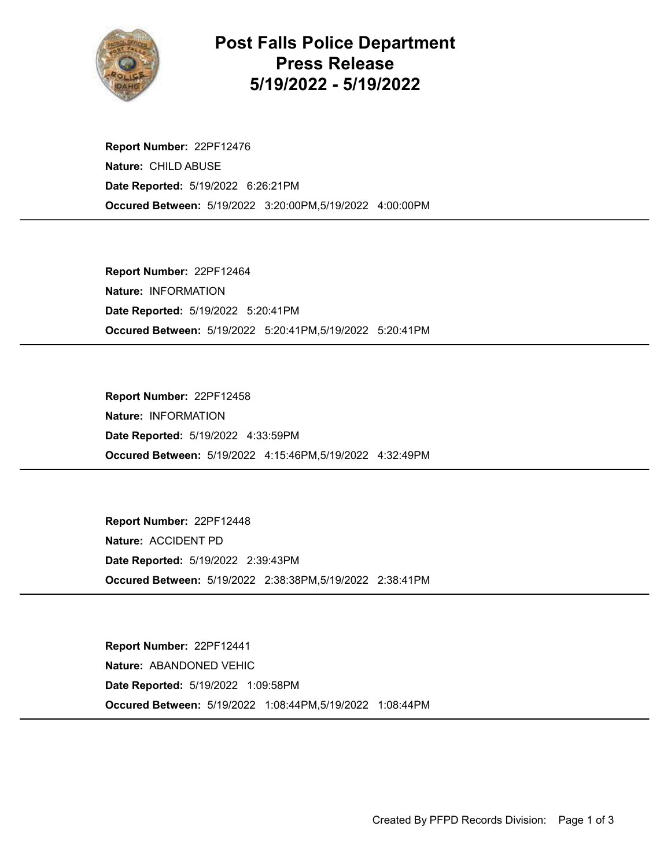

## Post Falls Police Department Press Release 5/19/2022 - 5/19/2022

Occured Between: 5/19/2022 3:20:00PM,5/19/2022 4:00:00PM Report Number: 22PF12476 Nature: CHILD ABUSE Date Reported: 5/19/2022 6:26:21PM

Occured Between: 5/19/2022 5:20:41PM,5/19/2022 5:20:41PM Report Number: 22PF12464 Nature: INFORMATION Date Reported: 5/19/2022 5:20:41PM

Occured Between: 5/19/2022 4:15:46PM,5/19/2022 4:32:49PM Report Number: 22PF12458 Nature: INFORMATION Date Reported: 5/19/2022 4:33:59PM

Occured Between: 5/19/2022 2:38:38PM,5/19/2022 2:38:41PM Report Number: 22PF12448 Nature: ACCIDENT PD Date Reported: 5/19/2022 2:39:43PM

Occured Between: 5/19/2022 1:08:44PM,5/19/2022 1:08:44PM Report Number: 22PF12441 Nature: ABANDONED VEHIC Date Reported: 5/19/2022 1:09:58PM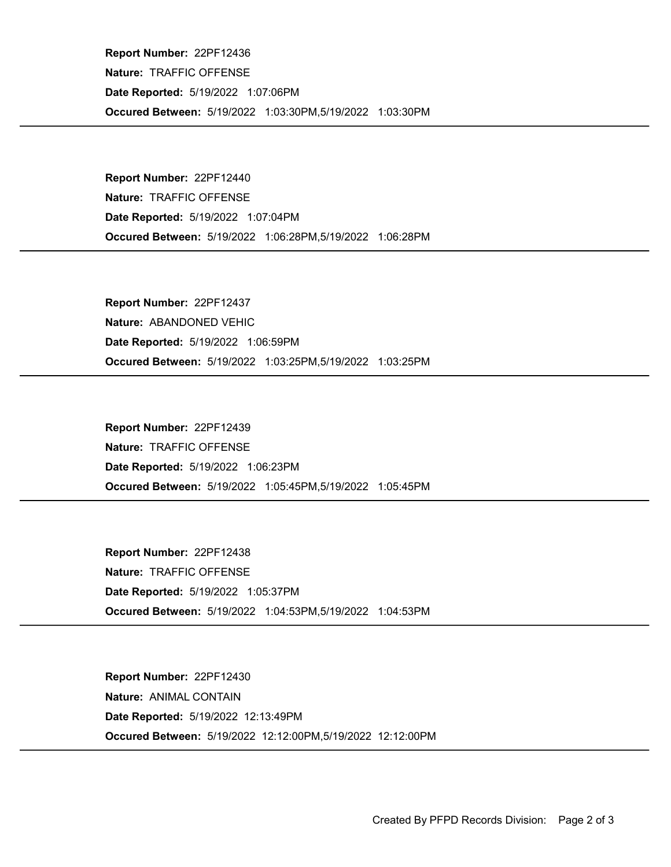Occured Between: 5/19/2022 1:03:30PM,5/19/2022 1:03:30PM Report Number: 22PF12436 Nature: TRAFFIC OFFENSE Date Reported: 5/19/2022 1:07:06PM

Occured Between: 5/19/2022 1:06:28PM,5/19/2022 1:06:28PM Report Number: 22PF12440 Nature: TRAFFIC OFFENSE Date Reported: 5/19/2022 1:07:04PM

Occured Between: 5/19/2022 1:03:25PM,5/19/2022 1:03:25PM Report Number: 22PF12437 Nature: ABANDONED VEHIC Date Reported: 5/19/2022 1:06:59PM

Occured Between: 5/19/2022 1:05:45PM,5/19/2022 1:05:45PM Report Number: 22PF12439 Nature: TRAFFIC OFFENSE Date Reported: 5/19/2022 1:06:23PM

Occured Between: 5/19/2022 1:04:53PM,5/19/2022 1:04:53PM Report Number: 22PF12438 Nature: TRAFFIC OFFENSE Date Reported: 5/19/2022 1:05:37PM

Occured Between: 5/19/2022 12:12:00PM,5/19/2022 12:12:00PM Report Number: 22PF12430 Nature: ANIMAL CONTAIN Date Reported: 5/19/2022 12:13:49PM